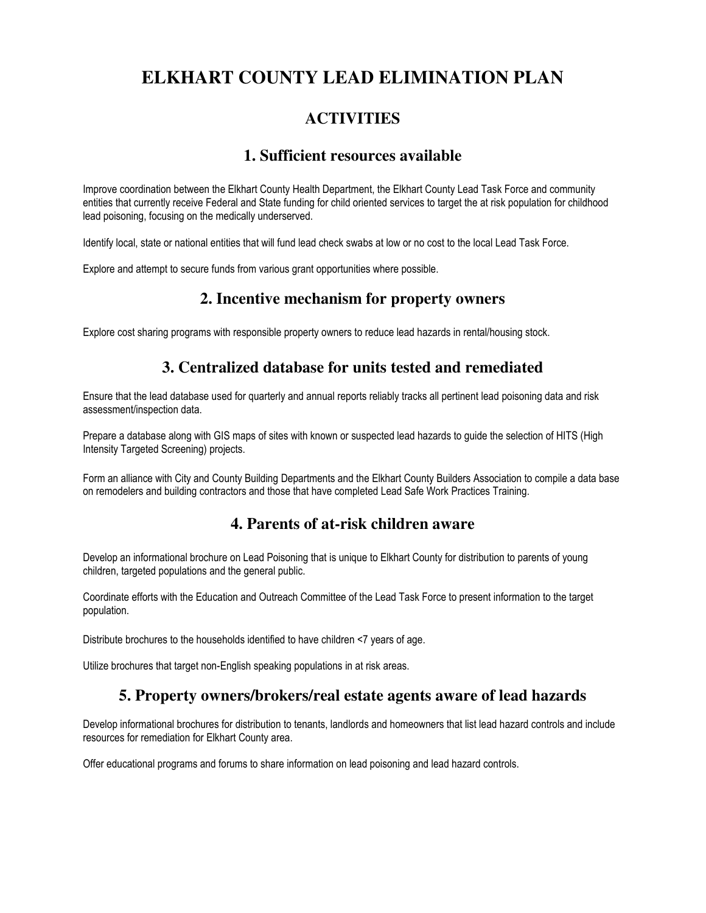# **ELKHART COUNTY LEAD ELIMINATION PLAN**

# **ACTIVITIES**

#### **1. Sufficient resources available**

Improve coordination between the Elkhart County Health Department, the Elkhart County Lead Task Force and community entities that currently receive Federal and State funding for child oriented services to target the at risk population for childhood lead poisoning, focusing on the medically underserved.

Identify local, state or national entities that will fund lead check swabs at low or no cost to the local Lead Task Force.

Explore and attempt to secure funds from various grant opportunities where possible.

### **2. Incentive mechanism for property owners**

Explore cost sharing programs with responsible property owners to reduce lead hazards in rental/housing stock.

## **3. Centralized database for units tested and remediated**

Ensure that the lead database used for quarterly and annual reports reliably tracks all pertinent lead poisoning data and risk assessment/inspection data.

Prepare a database along with GIS maps of sites with known or suspected lead hazards to guide the selection of HITS (High Intensity Targeted Screening) projects.

Form an alliance with City and County Building Departments and the Elkhart County Builders Association to compile a data base on remodelers and building contractors and those that have completed Lead Safe Work Practices Training.

### **4. Parents of at-risk children aware**

Develop an informational brochure on Lead Poisoning that is unique to Elkhart County for distribution to parents of young children, targeted populations and the general public.

Coordinate efforts with the Education and Outreach Committee of the Lead Task Force to present information to the target population.

Distribute brochures to the households identified to have children <7 years of age.

Utilize brochures that target non-English speaking populations in at risk areas.

### **5. Property owners/brokers/real estate agents aware of lead hazards**

Develop informational brochures for distribution to tenants, landlords and homeowners that list lead hazard controls and include resources for remediation for Elkhart County area.

Offer educational programs and forums to share information on lead poisoning and lead hazard controls.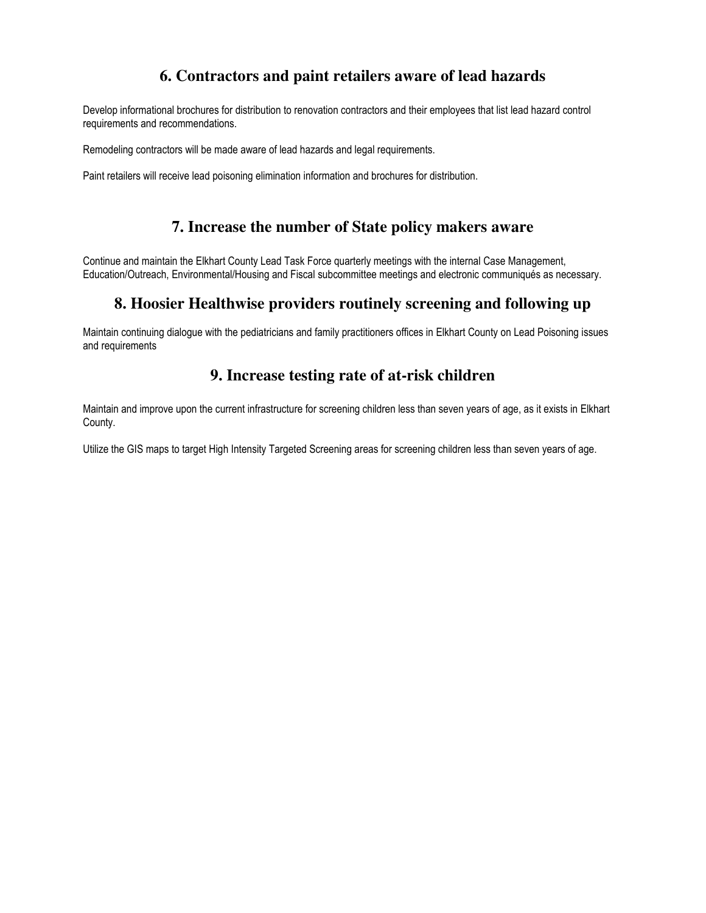# **6. Contractors and paint retailers aware of lead hazards**

Develop informational brochures for distribution to renovation contractors and their employees that list lead hazard control requirements and recommendations.

Remodeling contractors will be made aware of lead hazards and legal requirements.

Paint retailers will receive lead poisoning elimination information and brochures for distribution.

### **7. Increase the number of State policy makers aware**

Continue and maintain the Elkhart County Lead Task Force quarterly meetings with the internal Case Management, Education/Outreach, Environmental/Housing and Fiscal subcommittee meetings and electronic communiqués as necessary.

### **8. Hoosier Healthwise providers routinely screening and following up**

Maintain continuing dialogue with the pediatricians and family practitioners offices in Elkhart County on Lead Poisoning issues and requirements

#### **9. Increase testing rate of at-risk children**

Maintain and improve upon the current infrastructure for screening children less than seven years of age, as it exists in Elkhart County.

Utilize the GIS maps to target High Intensity Targeted Screening areas for screening children less than seven years of age.